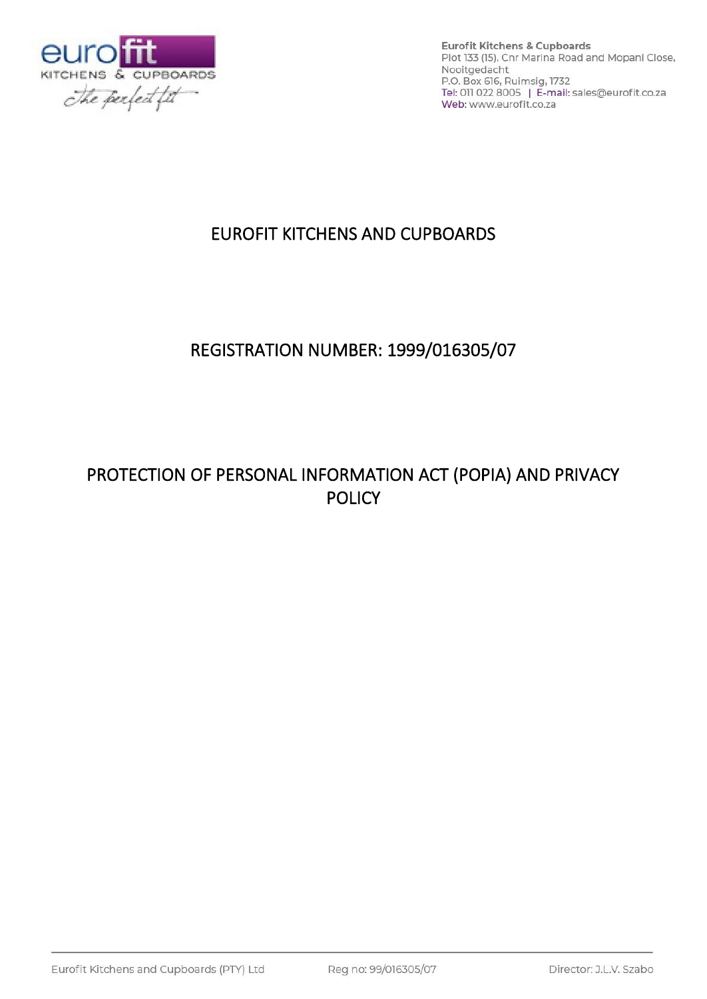

# EUROFIT KITCHENS AND CUPBOARDS

# REGISTRATION NUMBER: 1999/016305/07

# PROTECTION OF PERSONAL INFORMATION ACT (POPIA) AND PRIVACY **POLICY**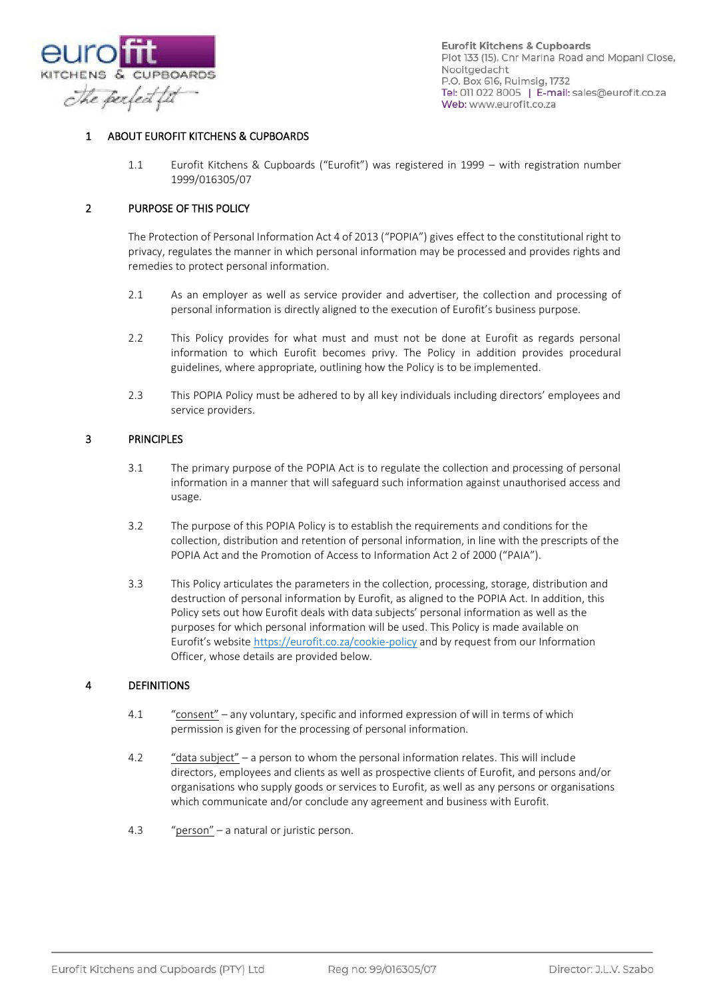

# ABOUT EUROFIT KITCHENS & CUPBOARDS

1.1 Eurofit Kitchens & Cupboards ("Eurofit") was registered in 1999 – with registration number 1999/016305/07

#### 2 PURPOSE OF THIS POLICY

The Protection of Personal Information Act 4 of 2013 ("POPIA") gives effect to the constitutional right to privacy, regulates the manner in which personal information may be processed and provides rights and remedies to protect personal information.

- 2.1 As an employer as well as service provider and advertiser, the collection and processing of personal information is directly aligned to the execution of Eurofit's business purpose.
- 2.2 This Policy provides for what must and must not be done at Eurofit as regards personal information to which Eurofit becomes privy. The Policy in addition provides procedural guidelines, where appropriate, outlining how the Policy is to be implemented.
- 2.3 This POPIA Policy must be adhered to by all key individuals including directors' employees and service providers.

#### 3 PRINCIPLES

- 3.1 The primary purpose of the POPIA Act is to regulate the collection and processing of personal information in a manner that will safeguard such information against unauthorised access and usage.
- 3.2 The purpose of this POPIA Policy is to establish the requirements and conditions for the collection, distribution and retention of personal information, in line with the prescripts of the POPIA Act and the Promotion of Access to Information Act 2 of 2000 ("PAIA").
- 3.3 This Policy articulates the parameters in the collection, processing, storage, distribution and destruction of personal information by Eurofit, as aligned to the POPIA Act. In addition, this Policy sets out how Eurofit deals with data subjects' personal information as well as the purposes for which personal information will be used. This Policy is made available on Eurofit's website <https://eurofit.co.za/cookie-policy> and by request from our Information Officer, whose details are provided below.

# 4 DEFINITIONS

- 4.1 "consent" any voluntary, specific and informed expression of will in terms of which permission is given for the processing of personal information.
- 4.2 "data subject" a person to whom the personal information relates. This will include directors, employees and clients as well as prospective clients of Eurofit, and persons and/or organisations who supply goods or services to Eurofit, as well as any persons or organisations which communicate and/or conclude any agreement and business with Eurofit.
- 4.3 "person" a natural or juristic person.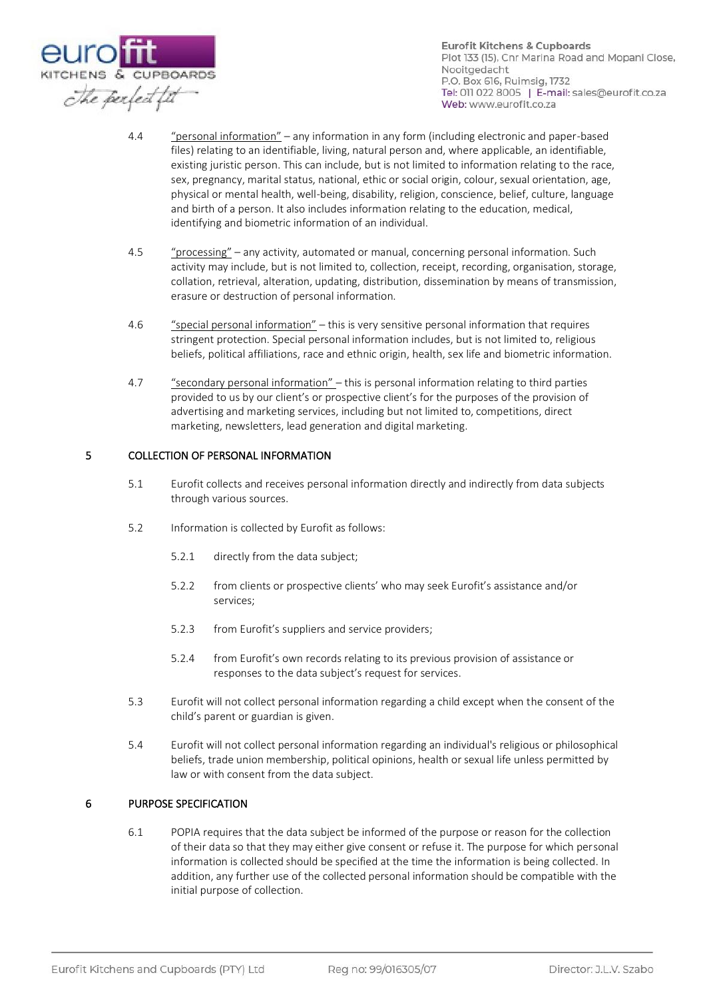

- 4.4 "personal information" any information in any form (including electronic and paper-based files) relating to an identifiable, living, natural person and, where applicable, an identifiable, existing juristic person. This can include, but is not limited to information relating to the race, sex, pregnancy, marital status, national, ethic or social origin, colour, sexual orientation, age, physical or mental health, well-being, disability, religion, conscience, belief, culture, language and birth of a person. It also includes information relating to the education, medical, identifying and biometric information of an individual.
- 4.5 "processing" any activity, automated or manual, concerning personal information. Such activity may include, but is not limited to, collection, receipt, recording, organisation, storage, collation, retrieval, alteration, updating, distribution, dissemination by means of transmission, erasure or destruction of personal information.
- 4.6 "special personal information" this is very sensitive personal information that requires stringent protection. Special personal information includes, but is not limited to, religious beliefs, political affiliations, race and ethnic origin, health, sex life and biometric information.
- 4.7 "secondary personal information" this is personal information relating to third parties provided to us by our client's or prospective client's for the purposes of the provision of advertising and marketing services, including but not limited to, competitions, direct marketing, newsletters, lead generation and digital marketing.

# 5 COLLECTION OF PERSONAL INFORMATION

- 5.1 Eurofit collects and receives personal information directly and indirectly from data subjects through various sources.
- 5.2 Information is collected by Eurofit as follows:
	- 5.2.1 directly from the data subject;
	- 5.2.2 from clients or prospective clients' who may seek Eurofit's assistance and/or services;
	- 5.2.3 from Eurofit's suppliers and service providers;
	- 5.2.4 from Eurofit's own records relating to its previous provision of assistance or responses to the data subject's request for services.
- 5.3 Eurofit will not collect personal information regarding a child except when the consent of the child's parent or guardian is given.
- 5.4 Eurofit will not collect personal information regarding an individual's religious or philosophical beliefs, trade union membership, political opinions, health or sexual life unless permitted by law or with consent from the data subject.

#### 6 PURPOSE SPECIFICATION

6.1 POPIA requires that the data subject be informed of the purpose or reason for the collection of their data so that they may either give consent or refuse it. The purpose for which personal information is collected should be specified at the time the information is being collected. In addition, any further use of the collected personal information should be compatible with the initial purpose of collection.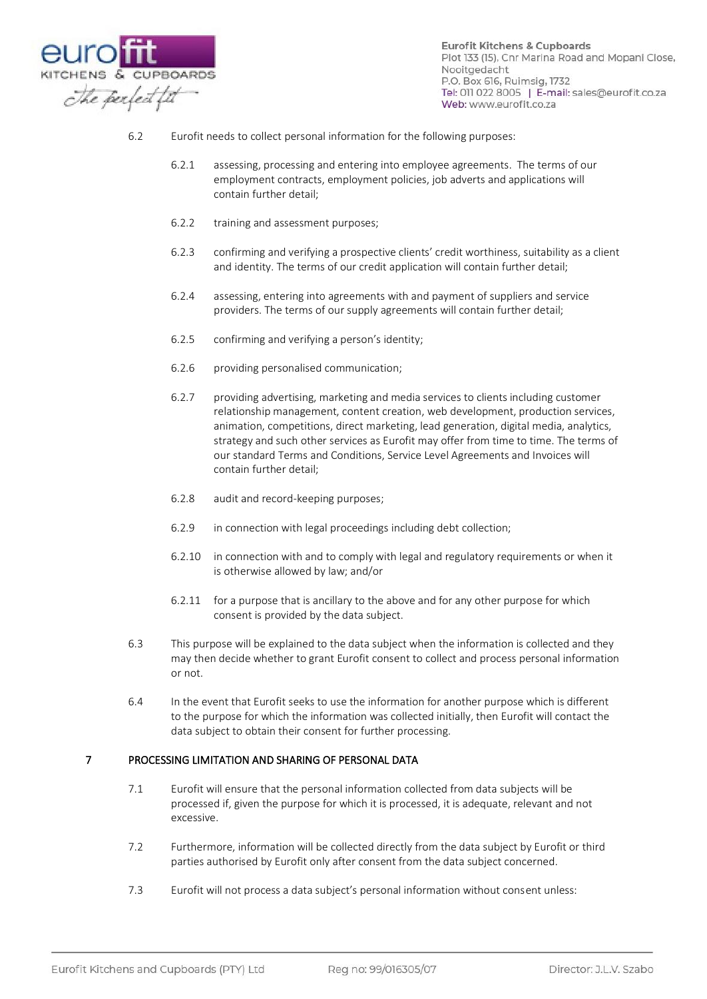

- 6.2 Eurofit needs to collect personal information for the following purposes:
	- 6.2.1 assessing, processing and entering into employee agreements. The terms of our employment contracts, employment policies, job adverts and applications will contain further detail;
	- 6.2.2 training and assessment purposes;
	- 6.2.3 confirming and verifying a prospective clients' credit worthiness, suitability as a client and identity. The terms of our credit application will contain further detail;
	- 6.2.4 assessing, entering into agreements with and payment of suppliers and service providers. The terms of our supply agreements will contain further detail;
	- 6.2.5 confirming and verifying a person's identity;
	- 6.2.6 providing personalised communication;
	- 6.2.7 providing advertising, marketing and media services to clients including customer relationship management, content creation, web development, production services, animation, competitions, direct marketing, lead generation, digital media, analytics, strategy and such other services as Eurofit may offer from time to time. The terms of our standard Terms and Conditions, Service Level Agreements and Invoices will contain further detail;
	- 6.2.8 audit and record-keeping purposes;
	- 6.2.9 in connection with legal proceedings including debt collection;
	- 6.2.10 in connection with and to comply with legal and regulatory requirements or when it is otherwise allowed by law; and/or
	- 6.2.11 for a purpose that is ancillary to the above and for any other purpose for which consent is provided by the data subject.
- 6.3 This purpose will be explained to the data subject when the information is collected and they may then decide whether to grant Eurofit consent to collect and process personal information or not.
- 6.4 In the event that Eurofit seeks to use the information for another purpose which is different to the purpose for which the information was collected initially, then Eurofit will contact the data subject to obtain their consent for further processing.

#### 7 PROCESSING LIMITATION AND SHARING OF PERSONAL DATA

- 7.1 Eurofit will ensure that the personal information collected from data subjects will be processed if, given the purpose for which it is processed, it is adequate, relevant and not excessive.
- 7.2 Furthermore, information will be collected directly from the data subject by Eurofit or third parties authorised by Eurofit only after consent from the data subject concerned.
- 7.3 Eurofit will not process a data subject's personal information without consent unless: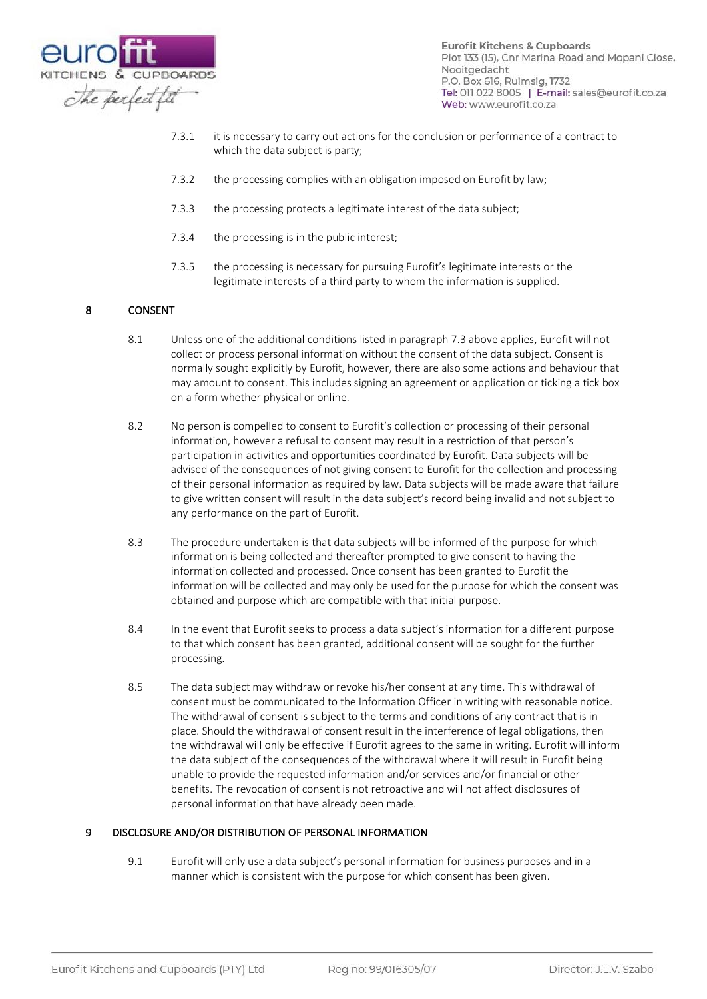

- 7.3.1 it is necessary to carry out actions for the conclusion or performance of a contract to which the data subject is party;
- 7.3.2 the processing complies with an obligation imposed on Eurofit by law;
- 7.3.3 the processing protects a legitimate interest of the data subject;
- 7.3.4 the processing is in the public interest;
- 7.3.5 the processing is necessary for pursuing Eurofit's legitimate interests or the legitimate interests of a third party to whom the information is supplied.

# 8 CONSENT

- 8.1 Unless one of the additional conditions listed in paragraph 7.3 above applies, Eurofit will not collect or process personal information without the consent of the data subject. Consent is normally sought explicitly by Eurofit, however, there are also some actions and behaviour that may amount to consent. This includes signing an agreement or application or ticking a tick box on a form whether physical or online.
- 8.2 No person is compelled to consent to Eurofit's collection or processing of their personal information, however a refusal to consent may result in a restriction of that person's participation in activities and opportunities coordinated by Eurofit. Data subjects will be advised of the consequences of not giving consent to Eurofit for the collection and processing of their personal information as required by law. Data subjects will be made aware that failure to give written consent will result in the data subject's record being invalid and not subject to any performance on the part of Eurofit.
- 8.3 The procedure undertaken is that data subjects will be informed of the purpose for which information is being collected and thereafter prompted to give consent to having the information collected and processed. Once consent has been granted to Eurofit the information will be collected and may only be used for the purpose for which the consent was obtained and purpose which are compatible with that initial purpose.
- 8.4 In the event that Eurofit seeks to process a data subject's information for a different purpose to that which consent has been granted, additional consent will be sought for the further processing.
- 8.5 The data subject may withdraw or revoke his/her consent at any time. This withdrawal of consent must be communicated to the Information Officer in writing with reasonable notice. The withdrawal of consent is subject to the terms and conditions of any contract that is in place. Should the withdrawal of consent result in the interference of legal obligations, then the withdrawal will only be effective if Eurofit agrees to the same in writing. Eurofit will inform the data subject of the consequences of the withdrawal where it will result in Eurofit being unable to provide the requested information and/or services and/or financial or other benefits. The revocation of consent is not retroactive and will not affect disclosures of personal information that have already been made.

# 9 DISCLOSURE AND/OR DISTRIBUTION OF PERSONAL INFORMATION

9.1 Eurofit will only use a data subject's personal information for business purposes and in a manner which is consistent with the purpose for which consent has been given.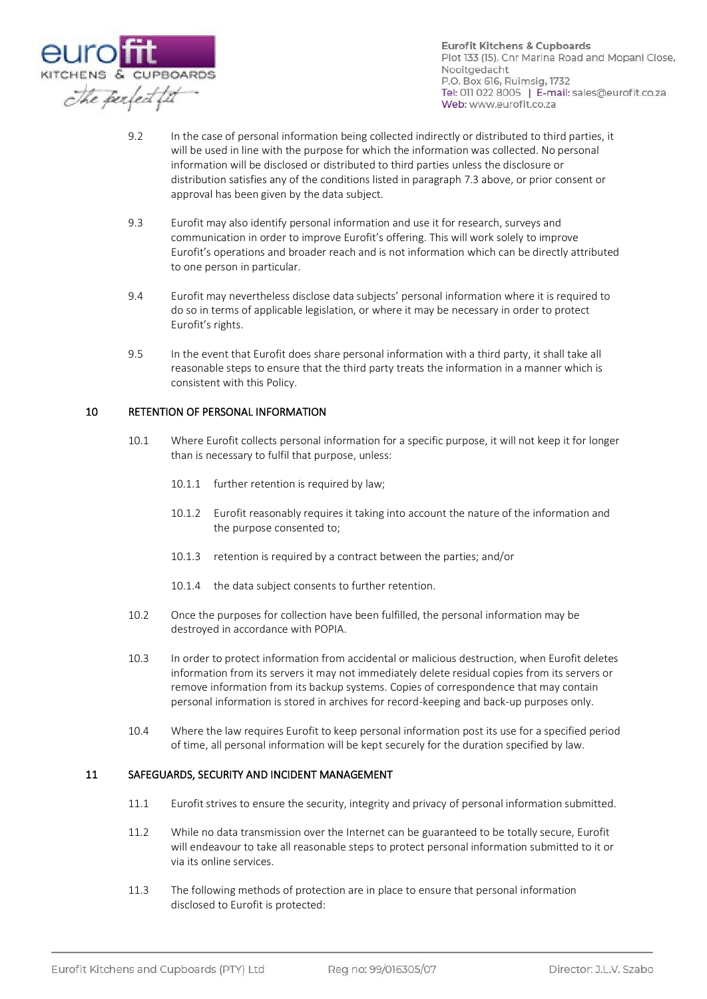

- 9.2 In the case of personal information being collected indirectly or distributed to third parties, it will be used in line with the purpose for which the information was collected. No personal information will be disclosed or distributed to third parties unless the disclosure or distribution satisfies any of the conditions listed in paragraph 7.3 above, or prior consent or approval has been given by the data subject.
- 9.3 Eurofit may also identify personal information and use it for research, surveys and communication in order to improve Eurofit's offering. This will work solely to improve Eurofit's operations and broader reach and is not information which can be directly attributed to one person in particular.
- 9.4 Eurofit may nevertheless disclose data subjects' personal information where it is required to do so in terms of applicable legislation, or where it may be necessary in order to protect Eurofit's rights.
- 9.5 In the event that Eurofit does share personal information with a third party, it shall take all reasonable steps to ensure that the third party treats the information in a manner which is consistent with this Policy.

## 10 RETENTION OF PERSONAL INFORMATION

- 10.1 Where Eurofit collects personal information for a specific purpose, it will not keep it for longer than is necessary to fulfil that purpose, unless:
	- 10.1.1 further retention is required by law;
	- 10.1.2 Eurofit reasonably requires it taking into account the nature of the information and the purpose consented to;
	- 10.1.3 retention is required by a contract between the parties; and/or
	- 10.1.4 the data subject consents to further retention.
- 10.2 Once the purposes for collection have been fulfilled, the personal information may be destroyed in accordance with POPIA.
- 10.3 In order to protect information from accidental or malicious destruction, when Eurofit deletes information from its servers it may not immediately delete residual copies from its servers or remove information from its backup systems. Copies of correspondence that may contain personal information is stored in archives for record-keeping and back-up purposes only.
- 10.4 Where the law requires Eurofit to keep personal information post its use for a specified period of time, all personal information will be kept securely for the duration specified by law.

#### 11 SAFEGUARDS, SECURITY AND INCIDENT MANAGEMENT

- 11.1 Eurofit strives to ensure the security, integrity and privacy of personal information submitted.
- 11.2 While no data transmission over the Internet can be guaranteed to be totally secure, Eurofit will endeavour to take all reasonable steps to protect personal information submitted to it or via its online services.
- 11.3 The following methods of protection are in place to ensure that personal information disclosed to Eurofit is protected: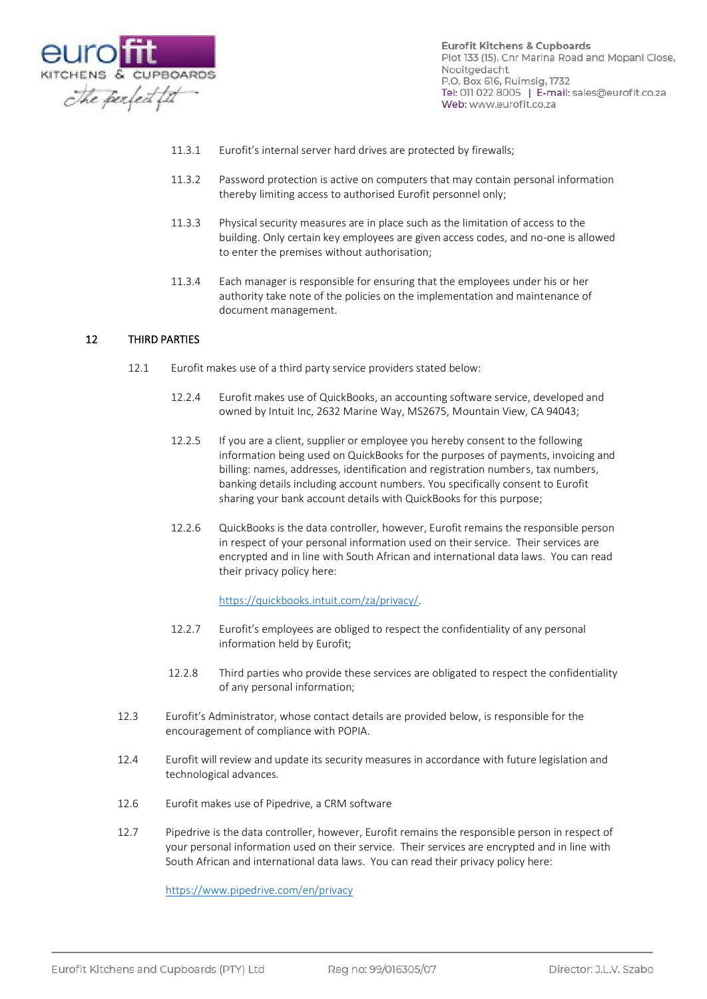

- 11.3.1 Eurofit's internal server hard drives are protected by firewalls;
- 11.3.2 Password protection is active on computers that may contain personal information thereby limiting access to authorised Eurofit personnel only;
- 11.3.3 Physical security measures are in place such as the limitation of access to the building. Only certain key employees are given access codes, and no-one is allowed to enter the premises without authorisation;
- 11.3.4 Each manager is responsible for ensuring that the employees under his or her authority take note of the policies on the implementation and maintenance of document management.

## 12 THIRD PARTIES

- 12.1 Eurofit makes use of a third party service providers stated below:
	- 12.2.4 Eurofit makes use of QuickBooks, an accounting software service, developed and owned by Intuit Inc, 2632 Marine Way, MS2675, Mountain View, CA 94043;
	- 12.2.5 If you are a client, supplier or employee you hereby consent to the following information being used on QuickBooks for the purposes of payments, invoicing and billing: names, addresses, identification and registration numbers, tax numbers, banking details including account numbers. You specifically consent to Eurofit sharing your bank account details with QuickBooks for this purpose;
	- 12.2.6 QuickBooks is the data controller, however, Eurofit remains the responsible person in respect of your personal information used on their service. Their services are encrypted and in line with South African and international data laws. You can read their privacy policy here:

#### [https://quickbooks.intuit.com/za/privacy/.](https://quickbooks.intuit.com/za/privacy/)

- 12.2.7 Eurofit's employees are obliged to respect the confidentiality of any personal information held by Eurofit;
- 12.2.8 Third parties who provide these services are obligated to respect the confidentiality of any personal information;
- 12.3 Eurofit's Administrator, whose contact details are provided below, is responsible for the encouragement of compliance with POPIA.
- 12.4 Eurofit will review and update its security measures in accordance with future legislation and technological advances.
- 12.6 Eurofit makes use of Pipedrive, a CRM software
- 12.7 Pipedrive is the data controller, however, Eurofit remains the responsible person in respect of your personal information used on their service. Their services are encrypted and in line with South African and international data laws. You can read their privacy policy here:

<https://www.pipedrive.com/en/privacy>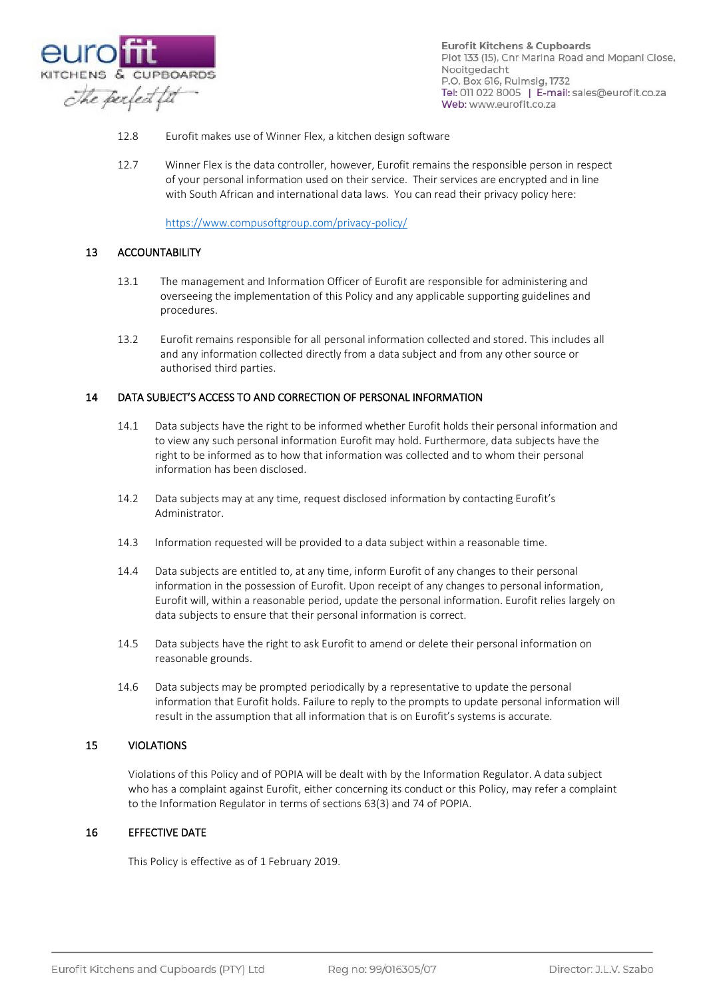

- 12.8 Eurofit makes use of Winner Flex, a kitchen design software
- 12.7 Winner Flex is the data controller, however, Eurofit remains the responsible person in respect of your personal information used on their service. Their services are encrypted and in line with South African and international data laws. You can read their privacy policy here:

<https://www.compusoftgroup.com/privacy-policy/>

## 13 ACCOUNTABILITY

- 13.1 The management and Information Officer of Eurofit are responsible for administering and overseeing the implementation of this Policy and any applicable supporting guidelines and procedures.
- 13.2 Eurofit remains responsible for all personal information collected and stored. This includes all and any information collected directly from a data subject and from any other source or authorised third parties.

## 14 DATA SUBJECT'S ACCESS TO AND CORRECTION OF PERSONAL INFORMATION

- 14.1 Data subjects have the right to be informed whether Eurofit holds their personal information and to view any such personal information Eurofit may hold. Furthermore, data subjects have the right to be informed as to how that information was collected and to whom their personal information has been disclosed.
- 14.2 Data subjects may at any time, request disclosed information by contacting Eurofit's Administrator.
- 14.3 Information requested will be provided to a data subject within a reasonable time.
- 14.4 Data subjects are entitled to, at any time, inform Eurofit of any changes to their personal information in the possession of Eurofit. Upon receipt of any changes to personal information, Eurofit will, within a reasonable period, update the personal information. Eurofit relies largely on data subjects to ensure that their personal information is correct.
- 14.5 Data subjects have the right to ask Eurofit to amend or delete their personal information on reasonable grounds.
- 14.6 Data subjects may be prompted periodically by a representative to update the personal information that Eurofit holds. Failure to reply to the prompts to update personal information will result in the assumption that all information that is on Eurofit's systems is accurate.

#### 15 VIOLATIONS

Violations of this Policy and of POPIA will be dealt with by the Information Regulator. A data subject who has a complaint against Eurofit, either concerning its conduct or this Policy, may refer a complaint to the Information Regulator in terms of sections 63(3) and 74 of POPIA.

## 16 EFFECTIVE DATE

This Policy is effective as of 1 February 2019.